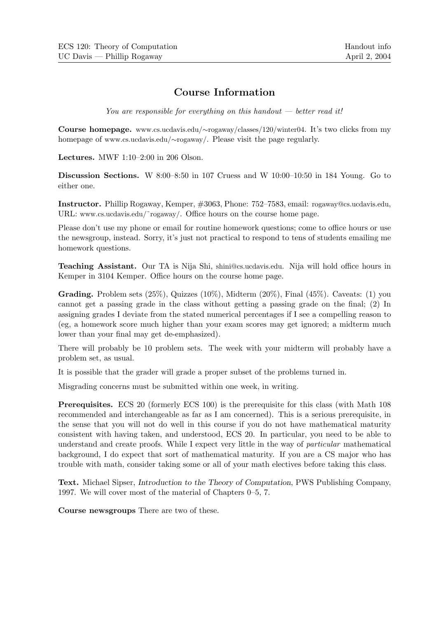## Course Information

You are responsible for everything on this handout  $-$  better read it!

Course homepage. www.cs.ucdavis.edu/∼rogaway/classes/120/winter04. It's two clicks from my homepage of www.cs.ucdavis.edu/∼rogaway/. Please visit the page regularly.

Lectures. MWF 1:10–2:00 in 206 Olson.

Discussion Sections. W 8:00–8:50 in 107 Cruess and W 10:00–10:50 in 184 Young. Go to either one.

Instructor. Phillip Rogaway, Kemper, #3063, Phone: 752–7583, email: rogaway@cs.ucdavis.edu, URL: www.cs.ucdavis.edu/~rogaway/. Office hours on the course home page.

Please don't use my phone or email for routine homework questions; come to office hours or use the newsgroup, instead. Sorry, it's just not practical to respond to tens of students emailing me homework questions.

Teaching Assistant. Our TA is Nija Shi, shini@cs.ucdavis.edu. Nija will hold office hours in Kemper in 3104 Kemper. Office hours on the course home page.

**Grading.** Problem sets  $(25\%)$ , Quizzes  $(10\%)$ , Midterm  $(20\%)$ , Final  $(45\%)$ . Caveats:  $(1)$  you cannot get a passing grade in the class without getting a passing grade on the final; (2) In assigning grades I deviate from the stated numerical percentages if I see a compelling reason to (eg, a homework score much higher than your exam scores may get ignored; a midterm much lower than your final may get de-emphasized).

There will probably be 10 problem sets. The week with your midterm will probably have a problem set, as usual.

It is possible that the grader will grade a proper subset of the problems turned in.

Misgrading concerns must be submitted within one week, in writing.

Prerequisites. ECS 20 (formerly ECS 100) is the prerequisite for this class (with Math 108 recommended and interchangeable as far as I am concerned). This is a serious prerequisite, in the sense that you will not do well in this course if you do not have mathematical maturity consistent with having taken, and understood, ECS 20. In particular, you need to be able to understand and create proofs. While I expect very little in the way of *particular* mathematical background, I do expect that sort of mathematical maturity. If you are a CS major who has trouble with math, consider taking some or all of your math electives before taking this class.

Text. Michael Sipser, Introduction to the Theory of Computation, PWS Publishing Company, 1997. We will cover most of the material of Chapters 0–5, 7.

Course newsgroups There are two of these.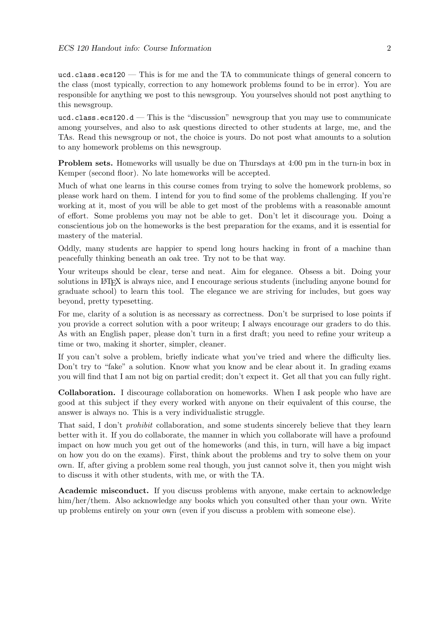ucd.class.ecs120 — This is for me and the TA to communicate things of general concern to the class (most typically, correction to any homework problems found to be in error). You are responsible for anything we post to this newsgroup. You yourselves should not post anything to this newsgroup.

ucd.class.ecs120.d — This is the "discussion" newsgroup that you may use to communicate among yourselves, and also to ask questions directed to other students at large, me, and the TAs. Read this newsgroup or not, the choice is yours. Do not post what amounts to a solution to any homework problems on this newsgroup.

Problem sets. Homeworks will usually be due on Thursdays at 4:00 pm in the turn-in box in Kemper (second floor). No late homeworks will be accepted.

Much of what one learns in this course comes from trying to solve the homework problems, so please work hard on them. I intend for you to find some of the problems challenging. If you're working at it, most of you will be able to get most of the problems with a reasonable amount of effort. Some problems you may not be able to get. Don't let it discourage you. Doing a conscientious job on the homeworks is the best preparation for the exams, and it is essential for mastery of the material.

Oddly, many students are happier to spend long hours hacking in front of a machine than peacefully thinking beneath an oak tree. Try not to be that way.

Your writeups should be clear, terse and neat. Aim for elegance. Obsess a bit. Doing your solutions in LATEX is always nice, and I encourage serious students (including anyone bound for graduate school) to learn this tool. The elegance we are striving for includes, but goes way beyond, pretty typesetting.

For me, clarity of a solution is as necessary as correctness. Don't be surprised to lose points if you provide a correct solution with a poor writeup; I always encourage our graders to do this. As with an English paper, please don't turn in a first draft; you need to refine your writeup a time or two, making it shorter, simpler, cleaner.

If you can't solve a problem, briefly indicate what you've tried and where the difficulty lies. Don't try to "fake" a solution. Know what you know and be clear about it. In grading exams you will find that I am not big on partial credit; don't expect it. Get all that you can fully right.

Collaboration. I discourage collaboration on homeworks. When I ask people who have are good at this subject if they every worked with anyone on their equivalent of this course, the answer is always no. This is a very individualistic struggle.

That said, I don't *prohibit* collaboration, and some students sincerely believe that they learn better with it. If you do collaborate, the manner in which you collaborate will have a profound impact on how much you get out of the homeworks (and this, in turn, will have a big impact on how you do on the exams). First, think about the problems and try to solve them on your own. If, after giving a problem some real though, you just cannot solve it, then you might wish to discuss it with other students, with me, or with the TA.

Academic misconduct. If you discuss problems with anyone, make certain to acknowledge him/her/them. Also acknowledge any books which you consulted other than your own. Write up problems entirely on your own (even if you discuss a problem with someone else).